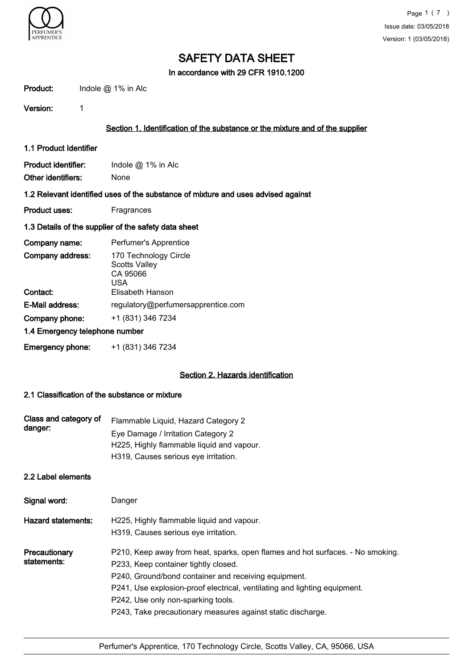

In accordance with 29 CFR 1910.1200

| Product:                       | Indole $@$ 1% in Alc                                                              |  |  |  |  |
|--------------------------------|-----------------------------------------------------------------------------------|--|--|--|--|
| Version:                       | 1                                                                                 |  |  |  |  |
|                                | Section 1. Identification of the substance or the mixture and of the supplier     |  |  |  |  |
| 1.1 Product Identifier         |                                                                                   |  |  |  |  |
| Product identifier:            | Indole $@$ 1% in Alc                                                              |  |  |  |  |
| Other identifiers:             | <b>None</b>                                                                       |  |  |  |  |
|                                | 1.2 Relevant identified uses of the substance of mixture and uses advised against |  |  |  |  |
| <b>Product uses:</b>           | Fragrances                                                                        |  |  |  |  |
|                                | 1.3 Details of the supplier of the safety data sheet                              |  |  |  |  |
| Company name:                  | Perfumer's Apprentice                                                             |  |  |  |  |
| Company address:               | 170 Technology Circle<br><b>Scotts Valley</b><br>CA 95066<br><b>USA</b>           |  |  |  |  |
| Contact:                       | <b>Elisabeth Hanson</b>                                                           |  |  |  |  |
| E-Mail address:                | regulatory@perfumersapprentice.com                                                |  |  |  |  |
| Company phone:                 | +1 (831) 346 7234                                                                 |  |  |  |  |
| 1.4 Emergency telephone number |                                                                                   |  |  |  |  |
| <b>Emergency phone:</b>        | +1 (831) 346 7234                                                                 |  |  |  |  |

# Section 2. Hazards identification

# 2.1 Classification of the substance or mixture

| Class and category of | Flammable Liquid, Hazard Category 2       |
|-----------------------|-------------------------------------------|
| danger:               | Eye Damage / Irritation Category 2        |
|                       | H225, Highly flammable liquid and vapour. |
|                       | H319, Causes serious eye irritation.      |

# 2.2 Label elements

| Signal word:                 | Danger                                                                                                                                                                                                                                                                                                                                                           |
|------------------------------|------------------------------------------------------------------------------------------------------------------------------------------------------------------------------------------------------------------------------------------------------------------------------------------------------------------------------------------------------------------|
| <b>Hazard statements:</b>    | H225, Highly flammable liquid and vapour.<br>H319, Causes serious eye irritation.                                                                                                                                                                                                                                                                                |
| Precautionary<br>statements: | P210, Keep away from heat, sparks, open flames and hot surfaces. - No smoking.<br>P233, Keep container tightly closed.<br>P240, Ground/bond container and receiving equipment.<br>P241, Use explosion-proof electrical, ventilating and lighting equipment.<br>P242, Use only non-sparking tools.<br>P243, Take precautionary measures against static discharge. |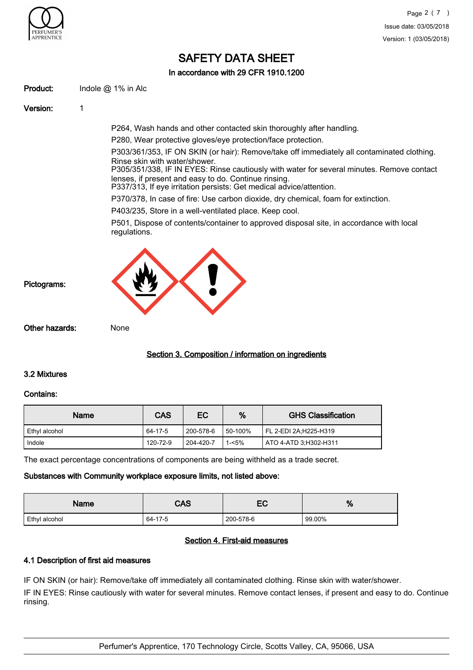

# In accordance with 29 CFR 1910.1200

Product: Indole @ 1% in Alc

Version: 1

P264, Wash hands and other contacted skin thoroughly after handling.

P280, Wear protective gloves/eye protection/face protection.

P303/361/353, IF ON SKIN (or hair): Remove/take off immediately all contaminated clothing. Rinse skin with water/shower.

P305/351/338, IF IN EYES: Rinse cautiously with water for several minutes. Remove contact lenses, if present and easy to do. Continue rinsing.

P337/313, If eye irritation persists: Get medical advice/attention.

P370/378, In case of fire: Use carbon dioxide, dry chemical, foam for extinction.

P403/235, Store in a well-ventilated place. Keep cool.

P501, Dispose of contents/container to approved disposal site, in accordance with local regulations.



Other hazards: None

# Section 3. Composition / information on ingredients

## 3.2 Mixtures

## Contains:

| Name          | <b>CAS</b> | EC        | %       | <b>GHS Classification</b> |
|---------------|------------|-----------|---------|---------------------------|
| Ethvl alcohol | 64-17-5    | 200-578-6 | 50-100% | FL 2-EDI 2A:H225-H319     |
| Indole        | 120-72-9   | 204-420-7 | 1-<5%   | ATO 4-ATD 3:H302-H311     |

The exact percentage concentrations of components are being withheld as a trade secret.

## Substances with Community workplace exposure limits, not listed above:

| <b>Name</b>   | CAS     | — ~<br>└  | %      |
|---------------|---------|-----------|--------|
| Ethyl alcohol | 64-17-5 | 200-578-6 | 99.00% |

# Section 4. First-aid measures

# 4.1 Description of first aid measures

IF ON SKIN (or hair): Remove/take off immediately all contaminated clothing. Rinse skin with water/shower.

IF IN EYES: Rinse cautiously with water for several minutes. Remove contact lenses, if present and easy to do. Continue rinsing.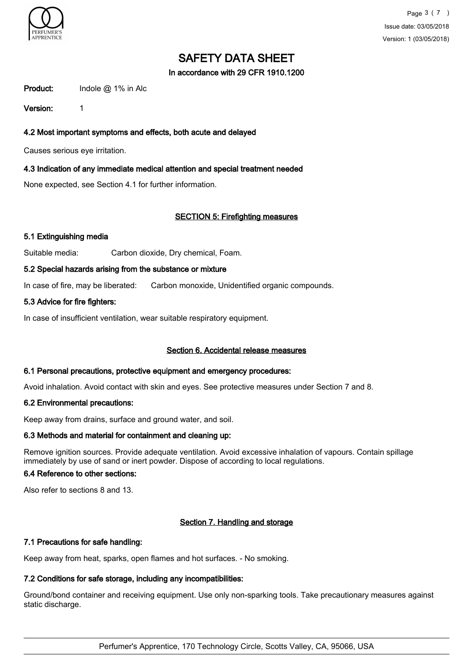

In accordance with 29 CFR 1910.1200

Product: Indole @ 1% in Alc

Version: 1

# 4.2 Most important symptoms and effects, both acute and delayed

Causes serious eye irritation.

## 4.3 Indication of any immediate medical attention and special treatment needed

None expected, see Section 4.1 for further information.

## SECTION 5: Firefighting measures

## 5.1 Extinguishing media

Suitable media: Carbon dioxide, Dry chemical, Foam.

#### 5.2 Special hazards arising from the substance or mixture

In case of fire, may be liberated: Carbon monoxide, Unidentified organic compounds.

## 5.3 Advice for fire fighters:

In case of insufficient ventilation, wear suitable respiratory equipment.

## Section 6. Accidental release measures

#### 6.1 Personal precautions, protective equipment and emergency procedures:

Avoid inhalation. Avoid contact with skin and eyes. See protective measures under Section 7 and 8.

## 6.2 Environmental precautions:

Keep away from drains, surface and ground water, and soil.

## 6.3 Methods and material for containment and cleaning up:

Remove ignition sources. Provide adequate ventilation. Avoid excessive inhalation of vapours. Contain spillage immediately by use of sand or inert powder. Dispose of according to local regulations.

# 6.4 Reference to other sections:

Also refer to sections 8 and 13.

# Section 7. Handling and storage

## 7.1 Precautions for safe handling:

Keep away from heat, sparks, open flames and hot surfaces. - No smoking.

# 7.2 Conditions for safe storage, including any incompatibilities:

Ground/bond container and receiving equipment. Use only non-sparking tools. Take precautionary measures against static discharge.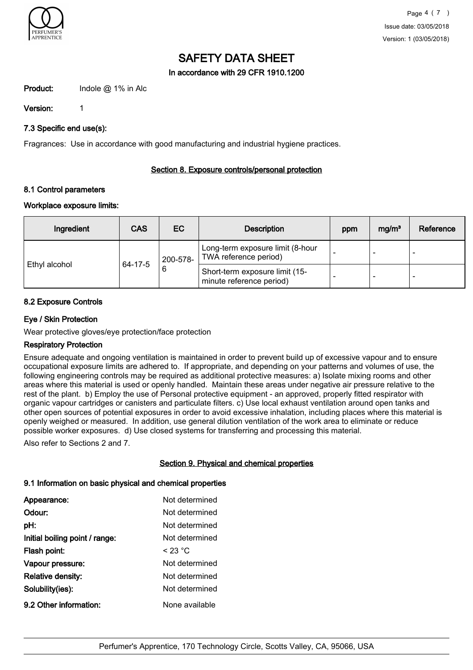

In accordance with 29 CFR 1910.1200

Product: Indole @ 1% in Alc

Version: 1

# 7.3 Specific end use(s):

Fragrances: Use in accordance with good manufacturing and industrial hygiene practices.

# Section 8. Exposure controls/personal protection

# 8.1 Control parameters

# Workplace exposure limits:

| Ingredient    | <b>CAS</b>         | EC.                                                        | <b>Description</b>                                        | ppm | mg/m <sup>3</sup> | Reference |
|---------------|--------------------|------------------------------------------------------------|-----------------------------------------------------------|-----|-------------------|-----------|
|               | $64 - 17 - 5$<br>6 | 200-578-                                                   | Long-term exposure limit (8-hour<br>TWA reference period) |     |                   |           |
| Ethyl alcohol |                    | Short-term exposure limit (15-<br>minute reference period) |                                                           | -   |                   |           |

# 8.2 Exposure Controls

# Eye / Skin Protection

Wear protective gloves/eye protection/face protection

## Respiratory Protection

Ensure adequate and ongoing ventilation is maintained in order to prevent build up of excessive vapour and to ensure occupational exposure limits are adhered to. If appropriate, and depending on your patterns and volumes of use, the following engineering controls may be required as additional protective measures: a) Isolate mixing rooms and other areas where this material is used or openly handled. Maintain these areas under negative air pressure relative to the rest of the plant. b) Employ the use of Personal protective equipment - an approved, properly fitted respirator with organic vapour cartridges or canisters and particulate filters. c) Use local exhaust ventilation around open tanks and other open sources of potential exposures in order to avoid excessive inhalation, including places where this material is openly weighed or measured. In addition, use general dilution ventilation of the work area to eliminate or reduce possible worker exposures. d) Use closed systems for transferring and processing this material.

Also refer to Sections 2 and 7.

# Section 9. Physical and chemical properties

# 9.1 Information on basic physical and chemical properties

| Appearance:                    | Not determined |
|--------------------------------|----------------|
| Odour:                         | Not determined |
| pH:                            | Not determined |
| Initial boiling point / range: | Not determined |
| Flash point:                   | $<$ 23 °C      |
| Vapour pressure:               | Not determined |
| Relative density:              | Not determined |
| Solubility(ies):               | Not determined |
| 9.2 Other information:         | None available |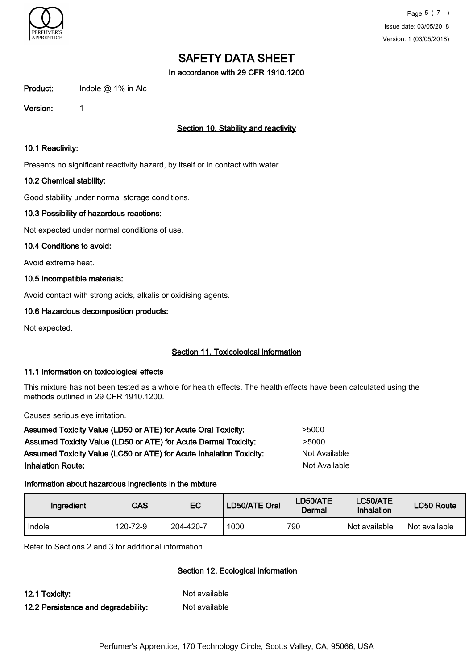

In accordance with 29 CFR 1910.1200

Product: Indole @ 1% in Alc

Version: 1

# Section 10. Stability and reactivity

#### 10.1 Reactivity:

Presents no significant reactivity hazard, by itself or in contact with water.

## 10.2 Chemical stability:

Good stability under normal storage conditions.

## 10.3 Possibility of hazardous reactions:

Not expected under normal conditions of use.

## 10.4 Conditions to avoid:

Avoid extreme heat.

# 10.5 Incompatible materials:

Avoid contact with strong acids, alkalis or oxidising agents.

# 10.6 Hazardous decomposition products:

Not expected.

# Section 11. Toxicological information

## 11.1 Information on toxicological effects

This mixture has not been tested as a whole for health effects. The health effects have been calculated using the methods outlined in 29 CFR 1910.1200.

Causes serious eye irritation.

| Assumed Toxicity Value (LD50 or ATE) for Acute Oral Toxicity:       | >5000         |
|---------------------------------------------------------------------|---------------|
| Assumed Toxicity Value (LD50 or ATE) for Acute Dermal Toxicity:     | >5000         |
| Assumed Toxicity Value (LC50 or ATE) for Acute Inhalation Toxicity: | Not Available |
| <b>Inhalation Route:</b>                                            | Not Available |
|                                                                     |               |

# Information about hazardous ingredients in the mixture

| Ingredient | CAS      | EC        | LD50/ATE Oral | LD50/ATE<br>Dermal | LC50/ATE<br>Inhalation | LC50 Route    |
|------------|----------|-----------|---------------|--------------------|------------------------|---------------|
| Indole     | 120-72-9 | 204-420-7 | 1000          | 790                | Not available          | Not available |

Refer to Sections 2 and 3 for additional information.

# Section 12. Ecological information

12.1 Toxicity: Not available

12.2 Persistence and degradability: Not available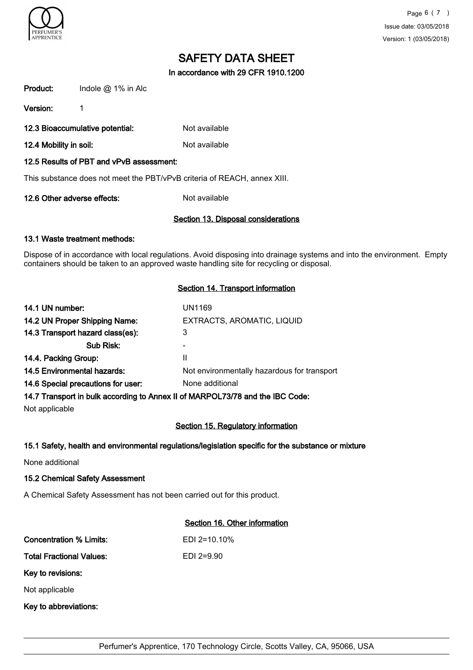

In accordance with 29 CFR 1910.1200

| Product:                    | Indole $@$ 1% in Alc                     |                                                                          |  |
|-----------------------------|------------------------------------------|--------------------------------------------------------------------------|--|
| Version:                    | 1                                        |                                                                          |  |
|                             | 12.3 Bioaccumulative potential:          | Not available                                                            |  |
| 12.4 Mobility in soil:      |                                          | Not available                                                            |  |
|                             | 12.5 Results of PBT and vPvB assessment: |                                                                          |  |
|                             |                                          | This substance does not meet the PBT/vPvB criteria of REACH, annex XIII. |  |
| 12.6 Other adverse effects: |                                          | Not available                                                            |  |

# Section 13. Disposal considerations

## 13.1 Waste treatment methods:

Dispose of in accordance with local regulations. Avoid disposing into drainage systems and into the environment. Empty containers should be taken to an approved waste handling site for recycling or disposal.

## Section 14. Transport information

| 14.1 UN number:                    | UN1169                                      |
|------------------------------------|---------------------------------------------|
| 14.2 UN Proper Shipping Name:      | EXTRACTS, AROMATIC, LIQUID                  |
| 14.3 Transport hazard class(es):   | 3                                           |
| Sub Risk:                          |                                             |
| 14.4. Packing Group:               | Ш                                           |
| 14.5 Environmental hazards:        | Not environmentally hazardous for transport |
| 14.6 Special precautions for user: | None additional                             |
|                                    |                                             |

# 14.7 Transport in bulk according to Annex II of MARPOL73/78 and the IBC Code:

Not applicable

## Section 15. Regulatory information

## 15.1 Safety, health and environmental regulations/legislation specific for the substance or mixture

None additional

## 15.2 Chemical Safety Assessment

A Chemical Safety Assessment has not been carried out for this product.

# Section 16. Other information

| Concentration % Limits:         | $FDI$ 2=10.10% |  |  |  |
|---------------------------------|----------------|--|--|--|
| <b>Total Fractional Values:</b> | $EDI$ 2=9.90   |  |  |  |
| Key to revisions:               |                |  |  |  |
| Not applicable                  |                |  |  |  |
| Key to abbreviations:           |                |  |  |  |